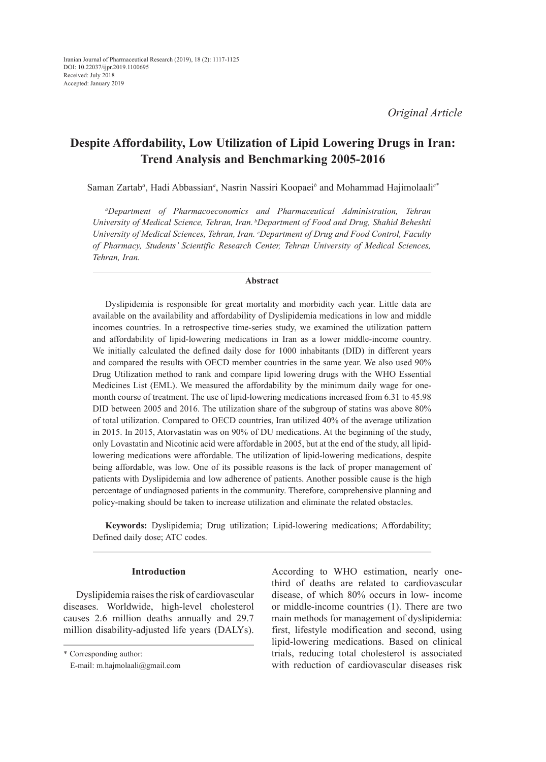# **Despite Affordability, Low Utilization of Lipid Lowering Drugs in Iran: Trend Analysis and Benchmarking 2005-2016**

Saman Zartab*<sup>a</sup>* , Hadi Abbassian*<sup>a</sup>* , Nasrin Nassiri Koopaei*<sup>b</sup>* and Mohammad Hajimolaali*c\**

*a Department of Pharmacoeconomics and Pharmaceutical Administration, Tehran University of Medical Science, Tehran, Iran. bDepartment of Food and Drug, Shahid Beheshti*  University of Medical Sciences, Tehran, Iran. *Coepartment of Drug and Food Control, Faculty of Pharmacy, Students' Scientific Research Center, Tehran University of Medical Sciences, Tehran, Iran.*

# **Abstract**

Dyslipidemia is responsible for great mortality and morbidity each year. Little data are available on the availability and affordability of Dyslipidemia medications in low and middle incomes countries. In a retrospective time-series study, we examined the utilization pattern and affordability of lipid-lowering medications in Iran as a lower middle-income country. We initially calculated the defined daily dose for 1000 inhabitants (DID) in different years and compared the results with OECD member countries in the same year. We also used 90% Drug Utilization method to rank and compare lipid lowering drugs with the WHO Essential Medicines List (EML). We measured the affordability by the minimum daily wage for onemonth course of treatment. The use of lipid-lowering medications increased from 6.31 to 45.98 DID between 2005 and 2016. The utilization share of the subgroup of statins was above 80% of total utilization. Compared to OECD countries, Iran utilized 40% of the average utilization in 2015. In 2015, Atorvastatin was on 90% of DU medications. At the beginning of the study, only Lovastatin and Nicotinic acid were affordable in 2005, but at the end of the study, all lipidlowering medications were affordable. The utilization of lipid-lowering medications, despite being affordable, was low. One of its possible reasons is the lack of proper management of patients with Dyslipidemia and low adherence of patients. Another possible cause is the high percentage of undiagnosed patients in the community. Therefore, comprehensive planning and policy-making should be taken to increase utilization and eliminate the related obstacles.

**Keywords:** Dyslipidemia; Drug utilization; Lipid-lowering medications; Affordability; Defined daily dose; ATC codes.

# **Introduction**

Dyslipidemia raises the risk of cardiovascular diseases. Worldwide, high-level cholesterol causes 2.6 million deaths annually and 29.7 million disability-adjusted life years (DALYs). According to WHO estimation, nearly onethird of deaths are related to cardiovascular disease, of which 80% occurs in low- income or middle-income countries (1). There are two main methods for management of dyslipidemia: first, lifestyle modification and second, using lipid-lowering medications. Based on clinical trials, reducing total cholesterol is associated with reduction of cardiovascular diseases risk

<sup>\*</sup> Corresponding author:

E-mail: m.hajmolaali@gmail.com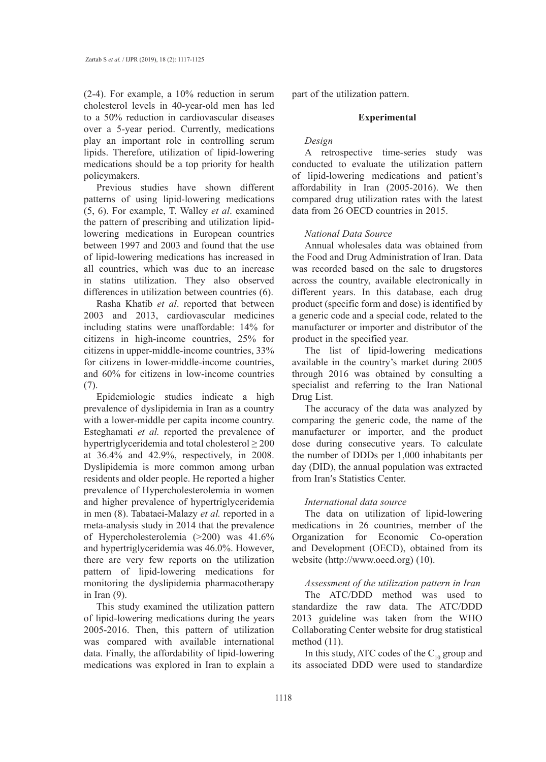(2-4). For example, a 10% reduction in serum cholesterol levels in 40-year-old men has led to a 50% reduction in cardiovascular diseases over a 5-year period. Currently, medications play an important role in controlling serum lipids. Therefore, utilization of lipid-lowering medications should be a top priority for health policymakers.

Previous studies have shown different patterns of using lipid-lowering medications (5, 6). For example, T. Walley *et al*. examined the pattern of prescribing and utilization lipidlowering medications in European countries between 1997 and 2003 and found that the use of lipid-lowering medications has increased in all countries, which was due to an increase in statins utilization. They also observed differences in utilization between countries (6).

Rasha Khatib *et al*. reported that between 2003 and 2013, cardiovascular medicines including statins were unaffordable: 14% for citizens in high-income countries, 25% for citizens in upper-middle-income countries, 33% for citizens in lower-middle-income countries, and 60% for citizens in low-income countries (7).

Epidemiologic studies indicate a high prevalence of dyslipidemia in Iran as a country with a lower-middle per capita income country. Esteghamati *et al.* reported the prevalence of hypertriglyceridemia and total cholesterol  $\geq 200$ at 36.4% and 42.9%, respectively, in 2008. Dyslipidemia is more common among urban residents and older people. He reported a higher prevalence of Hypercholesterolemia in women and higher prevalence of hypertriglyceridemia in men (8). Tabataei-Malazy *et al.* reported in a meta-analysis study in 2014 that the prevalence of Hypercholesterolemia (>200) was 41.6% and hypertriglyceridemia was 46.0%. However, there are very few reports on the utilization pattern of lipid-lowering medications for monitoring the dyslipidemia pharmacotherapy in Iran (9).

This study examined the utilization pattern of lipid-lowering medications during the years 2005-2016. Then, this pattern of utilization was compared with available international data. Finally, the affordability of lipid-lowering medications was explored in Iran to explain a

part of the utilization pattern.

# **Experimental**

# *Design*

A retrospective time-series study was conducted to evaluate the utilization pattern of lipid-lowering medications and patient's affordability in Iran (2005-2016). We then compared drug utilization rates with the latest data from 26 OECD countries in 2015.

# *National Data Source*

Annual wholesales data was obtained from the Food and Drug Administration of Iran. Data was recorded based on the sale to drugstores across the country, available electronically in different years. In this database, each drug product (specific form and dose) is identified by a generic code and a special code, related to the manufacturer or importer and distributor of the product in the specified year.

The list of lipid-lowering medications available in the country's market during 2005 through 2016 was obtained by consulting a specialist and referring to the Iran National Drug List.

The accuracy of the data was analyzed by comparing the generic code, the name of the manufacturer or importer, and the product dose during consecutive years. To calculate the number of DDDs per 1,000 inhabitants per day (DID), the annual population was extracted from Iran′s Statistics Center.

# *International data source*

The data on utilization of lipid-lowering medications in 26 countries, member of the Organization for Economic Co-operation and Development (OECD), obtained from its website (http://www.oecd.org) (10).

# *Assessment of the utilization pattern in Iran*

The ATC/DDD method was used to standardize the raw data. The ATC/DDD 2013 guideline was taken from the WHO Collaborating Center website for drug statistical method (11).

In this study, ATC codes of the  $C_{10}$  group and its associated DDD were used to standardize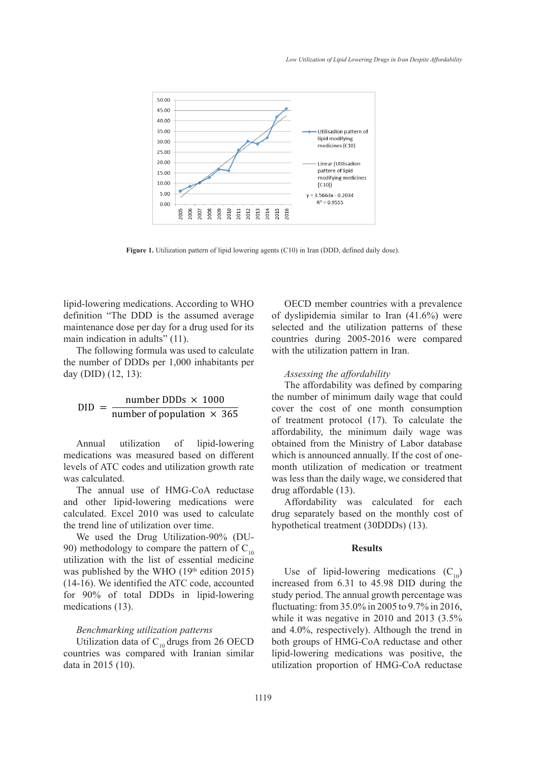

Figure 1. Utilization pattern of lipid lowering agents (C10) in Iran (DDD, defined daily dose).

lipid-lowering medications. According to WHO CDECD member countries with a preva definition "The DDD is the assumed average maintenance dose per day for a drug used for its main indication in adults" (11). The absolution countries during the average main indication in adults" (11).

The following formula was used to calculate with the utilization pattern in Iran. the number of DDDs per 1,000 inhabitants per day (DID)  $(12, 13)$ : Assessing the number of  $\overline{a}$ ID) (12, 13): Assessing the affordability inhabitants per day (DID) (12, 13):

$$
DID = \frac{number \, DDDs \times 1000}{number \, of \, population \times 365}
$$

Annual utilization of lipid-lowering medications was measured based on different levels of ATC codes and utilization growth rate month utilization was calculated. Excel 2010 was used to calculate the trend line of utilization of utilization over the trend line of utilization over the trend line of utilization over the trend line of utilization over the trend line of

The annual use of HMG-CoA reductase drug affordable and other lipid-lowering medications were Affordabilit calculated. Excel 2010 was used to calculate drug separately the trend line of utilization over time.

We used the Drug Utilization-90% (DU-90) methodology to compare the pattern of C<sub>10</sub> utilization with the list of essential medicine was published by the WHO  $(19<sup>th</sup>$  edition 2015) Use of lip  $(14-16)$ . We identified the ATC code, accounted for 90% of total DDDs in lipid-lowering study period. The medications (13). The utilization patterns of the utilization patterns of the utilization patterns of the utilization patterns of the utilization patterns of the utilization patterns of the utilization patterns of the util

### *Benchmarking utilization patterns*  compared with the utilization pattern in Iran.

Utilization data of  $C_{10}$  drugs from 26 OECD  $\frac{1}{16}$  countries was compared with Iranian similar lipid-lowering data in 2015 (10).  $\alpha$  called consumption of  $\alpha$  of  $\alpha$  of  $\alpha$  of  $\alpha$  of  $\alpha$  of  $\alpha$  of  $\alpha$  of  $\alpha$  of  $\alpha$  of  $\alpha$  of  $\alpha$  or  $\alpha$  or  $\alpha$  or  $\alpha$  or  $\alpha$  or  $\alpha$  or  $\alpha$  or  $\alpha$  or  $\alpha$  or  $\alpha$  or  $\alpha$  or  $\alpha$  or  $\alpha$  or  $\alpha$  or  $\$ 

OECD member countries with a prevalence ssumed average of dyslipidemia similar to Iran  $(41.6%)$  were nance dose per day for a drug used for its selected and the utilization patterns of these ndication in adults" (11). countries during 2005-2016 were compared with the utilization pattern in Iran.

The affordability was defined by comparing the number of minimum daily wage that could cover the cost of one month consumption of treatment protocol (17). To calculate the affordability, the minimum daily wage was obtained from the Ministry of Labor database which is announced annually. If the cost of onemonth utilization of medication or treatment was less than the daily wage, we considered that drug affordable (13).

> Affordability was calculated for each drug separately based on the monthly cost of hypothetical treatment (30DDDs) (13).

# **Results**

Use of lipid-lowering medications  $(C_{10})$ increased from 6.31 to 45.98 DID during the study period. The annual growth percentage was fluctuating: from 35.0% in 2005 to 9.7% in 2016, while it was negative in 2010 and 2013 (3.5% and 4.0%, respectively). Although the trend in both groups of HMG-CoA reductase and other lipid-lowering medications was positive, the utilization proportion of HMG-CoA reductase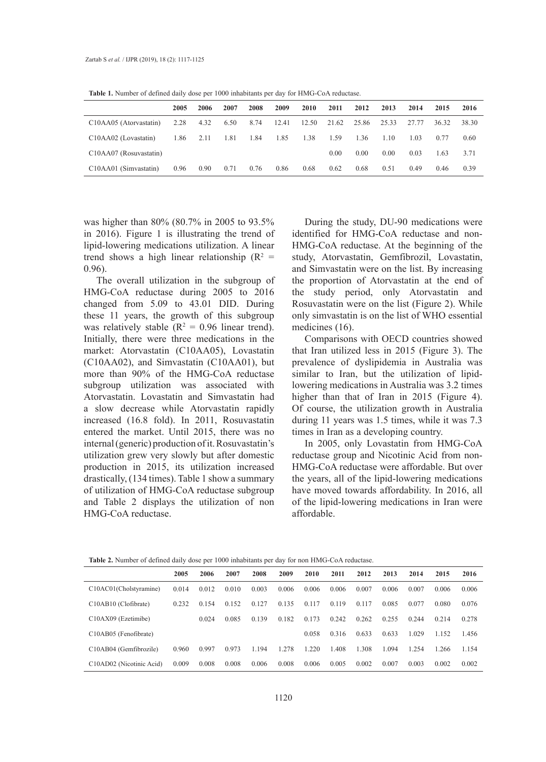|                                                             | 2005 | 2006 | 2007 | 2008 | 2009  | 2010  | 2011  | 2012  | 2013  | 2014  | 2015  | 2016  |
|-------------------------------------------------------------|------|------|------|------|-------|-------|-------|-------|-------|-------|-------|-------|
| C <sub>10</sub> A <sub>A</sub> <sub>05</sub> (Atorvastatin) | 2.28 | 4.32 | 6.50 | 8.74 | 12.41 | 12.50 | 21.62 | 25.86 | 25.33 | 27.77 | 36.32 | 38.30 |
| C10AA02 (Lovastatin)                                        | 1.86 | 2.11 | 1.81 | 1.84 | 1.85  | 1.38  | 1.59  | 1.36  | 1.10  | 1.03  | 0.77  | 0.60  |
| C10AA07 (Rosuvastatin)                                      |      |      |      |      |       |       | 0.00  | 0.00  | 0.00  | 0.03  | 1.63  | 3.71  |
| C10AA01 (Simvastatin)                                       | 0.96 | 0.90 | 0.71 | 0.76 | 0.86  | 0.68  | 0.62  | 0.68  | 0.51  | 0.49  | 0.46  | 0.39  |

**Table 1.** Number of defined daily dose per 1000 inhabitants per day for HMG-CoA reductase.

was higher than 80% (80.7% in 2005 to 93.5% in 2016). Figure 1 is illustrating the trend of lipid-lowering medications utilization. A linear trend shows a high linear relationship  $(R^2 =$ 0.96).

The overall utilization in the subgroup of HMG-CoA reductase during 2005 to 2016 changed from 5.09 to 43.01 DID. During these 11 years, the growth of this subgroup was relatively stable ( $R^2 = 0.96$  linear trend). Initially, there were three medications in the market: Atorvastatin (C10AA05), Lovastatin (C10AA02), and Simvastatin (C10AA01), but more than 90% of the HMG-CoA reductase subgroup utilization was associated with Atorvastatin. Lovastatin and Simvastatin had a slow decrease while Atorvastatin rapidly increased (16.8 fold). In 2011, Rosuvastatin entered the market. Until 2015, there was no internal (generic) production of it. Rosuvastatin's utilization grew very slowly but after domestic production in 2015, its utilization increased drastically, (134 times). Table 1 show a summary of utilization of HMG-CoA reductase subgroup and Table 2 displays the utilization of non HMG-CoA reductase.

During the study, DU-90 medications were identified for HMG-CoA reductase and non-HMG-CoA reductase. At the beginning of the study, Atorvastatin, Gemfibrozil, Lovastatin, and Simvastatin were on the list. By increasing the proportion of Atorvastatin at the end of the study period, only Atorvastatin and Rosuvastatin were on the list (Figure 2). While only simvastatin is on the list of WHO essential medicines (16).

Comparisons with OECD countries showed that Iran utilized less in 2015 (Figure 3). The prevalence of dyslipidemia in Australia was similar to Iran, but the utilization of lipidlowering medications in Australia was 3.2 times higher than that of Iran in 2015 (Figure 4). Of course, the utilization growth in Australia during 11 years was 1.5 times, while it was 7.3 times in Iran as a developing country.

In 2005, only Lovastatin from HMG-CoA reductase group and Nicotinic Acid from non-HMG-CoA reductase were affordable. But over the years, all of the lipid-lowering medications have moved towards affordability. In 2016, all of the lipid-lowering medications in Iran were affordable.

| those measured of wellies whip wore per 1000 illuminum per way for hold finite contremented |       |       |       |       |       |       |       |       |       |       |       |       |
|---------------------------------------------------------------------------------------------|-------|-------|-------|-------|-------|-------|-------|-------|-------|-------|-------|-------|
|                                                                                             | 2005  | 2006  | 2007  | 2008  | 2009  | 2010  | 2011  | 2012  | 2013  | 2014  | 2015  | 2016  |
| C10AC01(Cholstyramine)                                                                      | 0.014 | 0.012 | 0.010 | 0.003 | 0.006 | 0.006 | 0.006 | 0.007 | 0.006 | 0.007 | 0.006 | 0.006 |
| C10AB10 (Clofibrate)                                                                        | 0.232 | 0.154 | 0.152 | 0.127 | 0.135 | 0.117 | 0.119 | 0.117 | 0.085 | 0.077 | 0.080 | 0.076 |
| C10AX09 (Ezetimibe)                                                                         |       | 0.024 | 0.085 | 0.139 | 0.182 | 0.173 | 0.242 | 0.262 | 0.255 | 0.244 | 0.214 | 0.278 |
| C10AB05 (Fenofibrate)                                                                       |       |       |       |       |       | 0.058 | 0.316 | 0.633 | 0.633 | 1.029 | 1.152 | 1.456 |
| C10AB04 (Gemfibrozile)                                                                      | 0.960 | 0.997 | 0.973 | 1.194 | 1.278 | 1.220 | 1.408 | 1.308 | 1.094 | 1.254 | 1.266 | 1.154 |
| C10AD02 (Nicotinic Acid)                                                                    | 0.009 | 0.008 | 0.008 | 0.006 | 0.008 | 0.006 | 0.005 | 0.002 | 0.007 | 0.003 | 0.002 | 0.002 |

**Table 2.** Number of defined daily dose per 1000 inhabitants per day for non HMG-CoA reductase.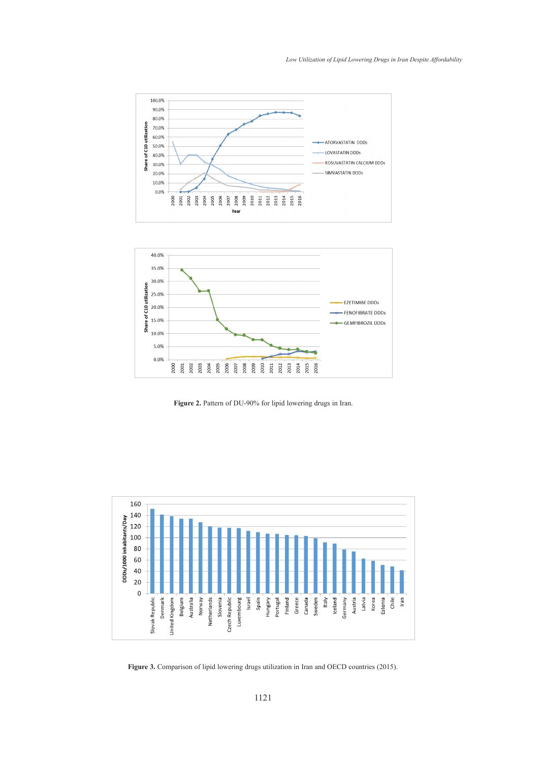



Figure 2. Pattern of DU-90% for lipid lowering drugs in Iran.



(2015). **Figure 3.** Comparison of lipid lowering drugs utilization in Iran and OECD countries (2015).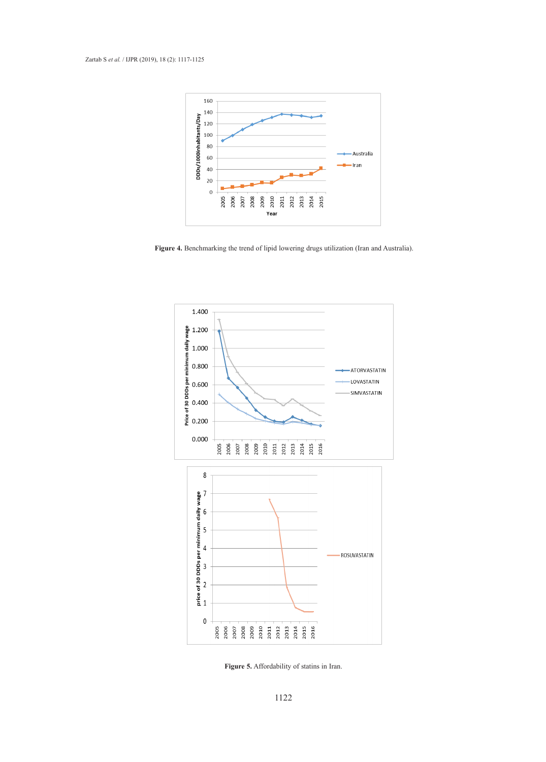

Figure 4. Benchmarking the trend of lipid lowering drugs utilization (Iran and Australia). lowering medications in Iran were affordable. The growth of affordability was partly  $\cdot$   $\cdot$ . Denemiating the trend of fipid fowering drugs utilization (fram and Australia).



**Figure 5.** Affordability of statins in Iran. **Figure 5.** Affordability of statins in Iran.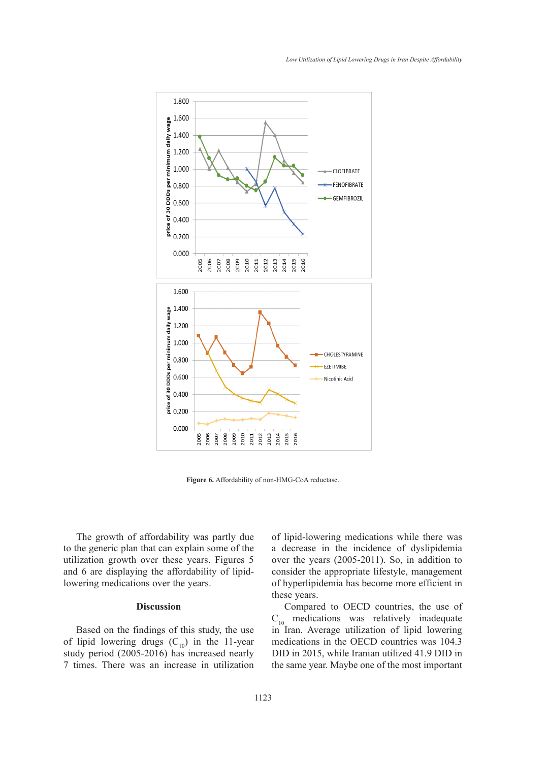

**Figure 6.** Affordability of non-HMG-CoA reductase.

The growth of affordability was partly due to the generic plan that can explain some of the utilization growth over these years. Figures 5 and 6 are displaying the affordability of lipidlowering medications over the years.

# **Discussion**

Based on the findings of this study, the use of lipid lowering drugs  $(C_{10})$  in the 11-year study period (2005-2016) has increased nearly 7 times. There was an increase in utilization

rdability was partly due of lipid-lowering medications while there was a decrease in the incidence of dyslipidemia over the years (2005-2011). So, in addition to consider the appropriate lifestyle, management of hyperlipidemia has become more efficient in these years.

> Compared to OECD countries, the use of  $C_{10}$  medications was relatively inadequate in Iran. Average utilization of lipid lowering medications in the OECD countries was 104.3 DID in 2015, while Iranian utilized 41.9 DID in the same year. Maybe one of the most important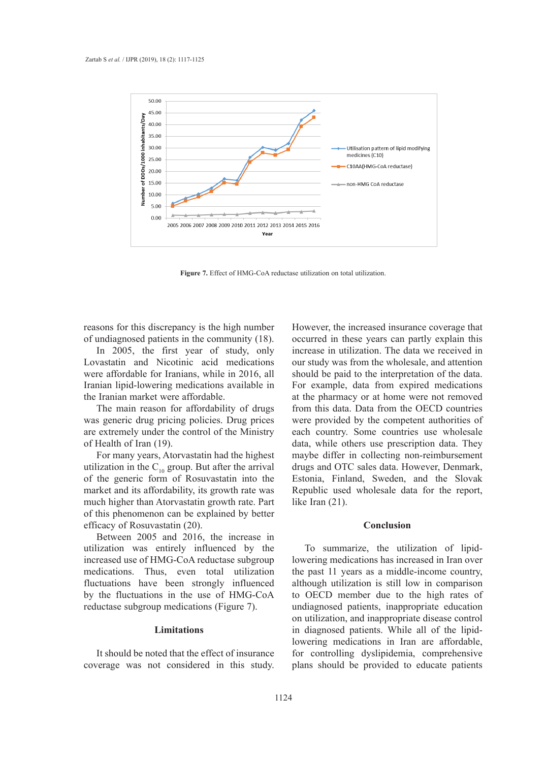

**Figure 7.** Effect of HMG-CoA reductase utilization on total utilization.

reasons for this discrepancy is the high number of undiagnosed patients in the community (18).

In 2005, the first year of study, only Lovastatin and Nicotinic acid medications our study was from the wholesale, and att were affordable for Iranians, while in 2016, all should be paid to the interpretation of the Iranian lipid-lowering medications available in the Iranian market were affordable.

The main reason for affordability of drugs from this data. Data i was generic drug pricing policies. Drug prices are extremely under the control of the Ministry of Health of Iran (19).

For many years, Atorvastatin had the highest and maybe differ in collecting non-reimburs utilization in the  $C_{10}$  group. But after the arrival drugs and OTC sales data. However, Den of the generic form of Rosuvastatin into the market and its affordability, its growth rate was much higher than Atorvastatin growth rate. Part much inglied than Alor vastally growth rate. Fare  $\sum_{n=1}^{\infty}$  and  $\sum_{n=1}^{\infty}$ . efficacy of Rosuvastatin (20). Conclusion Conclusion and to explained by belief

Between 2005 and 2016, the increase in utilization was entirely influenced by the increased use of HMG-CoA reductase subgroup medications. Thus, even total utilization fluctuations have been strongly influenced by the fluctuations in the use of HMG-CoA reductase subgroup medications (Figure 7).

## **Limitations**

It should be noted that the effect of insurance coverage was not considered in this study.

s for this discrepancy is the high number However, the increased insurance coverage that the distribution of the might named the worse, the increased instituted to verify that is agnosed patients in the community (18). occurred in these years can partly explain this 2005, the first year of study, only increase in utilization. The data we received in our study was from the wholesale, and attention should be paid to the interpretation of the data. lipid-lowering medications available in For example, data from expired medications hian market were affordable. The same of the pharmacy or at home were not removed from this data. Data from the OECD countries were provided by the competent authorities of each country. Some countries use wholesale lth of Iran (19). The utilization of lipid-lowering data, while others use prescription data. They maybe differ in collecting non-reimbursement drugs and OTC sales data. However, Denmark, generic form of Rosuvastatin into the Estonia, Finland, Sweden, and the Slovak and its affordability, its growth rate was Republic used wholesale data for the report, like Iran (21).

# **Conclusion**

To summarize, the utilization of lipidlowering medications has increased in Iran over the past 11 years as a middle-income country, although utilization is still low in comparison to OECD member due to the high rates of undiagnosed patients, inappropriate education on utilization, and inappropriate disease control in diagnosed patients. While all of the lipidlowering medications in Iran are affordable, for controlling dyslipidemia, comprehensive plans should be provided to educate patients